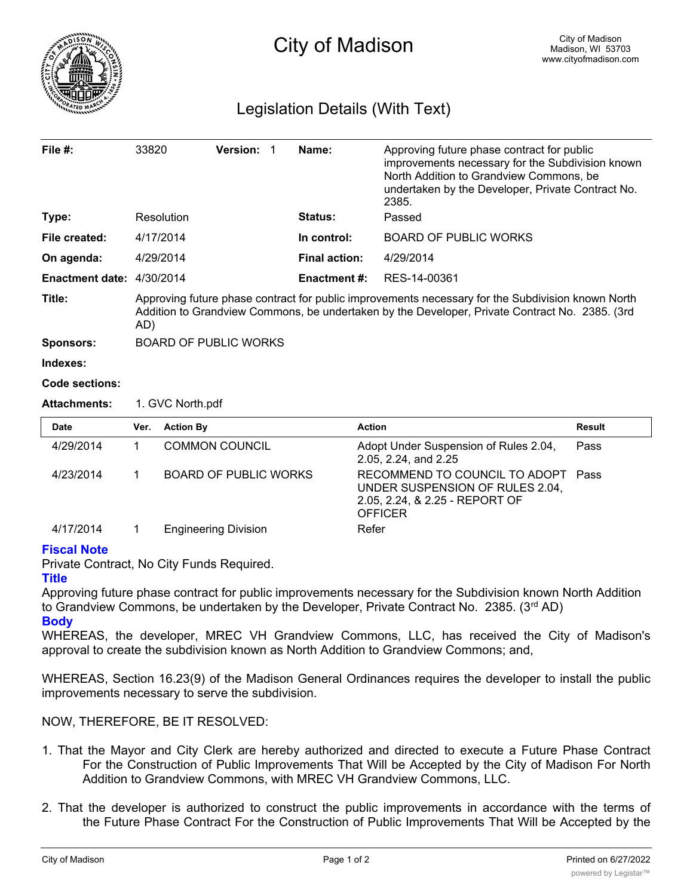

## Legislation Details (With Text)

| File $#$ :                | 33820                                                                                                                                                                                                      |                  | <b>Version:</b>       | -1                                                                                                                   | Name:                | Approving future phase contract for public<br>improvements necessary for the Subdivision known<br>North Addition to Grandview Commons, be<br>undertaken by the Developer, Private Contract No.<br>2385. |               |  |
|---------------------------|------------------------------------------------------------------------------------------------------------------------------------------------------------------------------------------------------------|------------------|-----------------------|----------------------------------------------------------------------------------------------------------------------|----------------------|---------------------------------------------------------------------------------------------------------------------------------------------------------------------------------------------------------|---------------|--|
| Type:                     |                                                                                                                                                                                                            | Resolution       |                       |                                                                                                                      | Status:              | Passed                                                                                                                                                                                                  |               |  |
| File created:             |                                                                                                                                                                                                            | 4/17/2014        |                       |                                                                                                                      | In control:          | <b>BOARD OF PUBLIC WORKS</b>                                                                                                                                                                            |               |  |
| On agenda:                | 4/29/2014                                                                                                                                                                                                  |                  |                       |                                                                                                                      | <b>Final action:</b> | 4/29/2014                                                                                                                                                                                               |               |  |
| Enactment date: 4/30/2014 |                                                                                                                                                                                                            |                  |                       |                                                                                                                      | <b>Enactment #:</b>  | RES-14-00361                                                                                                                                                                                            |               |  |
| Title:                    | Approving future phase contract for public improvements necessary for the Subdivision known North<br>Addition to Grandview Commons, be undertaken by the Developer, Private Contract No. 2385. (3rd<br>AD) |                  |                       |                                                                                                                      |                      |                                                                                                                                                                                                         |               |  |
| <b>Sponsors:</b>          | <b>BOARD OF PUBLIC WORKS</b>                                                                                                                                                                               |                  |                       |                                                                                                                      |                      |                                                                                                                                                                                                         |               |  |
| Indexes:                  |                                                                                                                                                                                                            |                  |                       |                                                                                                                      |                      |                                                                                                                                                                                                         |               |  |
| Code sections:            |                                                                                                                                                                                                            |                  |                       |                                                                                                                      |                      |                                                                                                                                                                                                         |               |  |
| <b>Attachments:</b>       | 1. GVC North.pdf                                                                                                                                                                                           |                  |                       |                                                                                                                      |                      |                                                                                                                                                                                                         |               |  |
| <b>Date</b>               | Ver.                                                                                                                                                                                                       | <b>Action By</b> |                       |                                                                                                                      |                      | <b>Action</b>                                                                                                                                                                                           | <b>Result</b> |  |
| 4/29/2014                 | 1                                                                                                                                                                                                          |                  | <b>COMMON COUNCIL</b> |                                                                                                                      |                      | Adopt Under Suspension of Rules 2.04,<br>2.05, 2.24, and 2.25                                                                                                                                           | Pass          |  |
| 4/23/2014                 | BOARD OF PUBLIC WORKS<br>1                                                                                                                                                                                 |                  |                       | RECOMMEND TO COUNCIL TO ADOPT<br>UNDER SUSPENSION OF RULES 2.04,<br>2.05, 2.24, & 2.25 - REPORT OF<br><b>OFFICER</b> | Pass                 |                                                                                                                                                                                                         |               |  |

4/17/2014 1 Engineering Division Refer

## **Fiscal Note**

Private Contract, No City Funds Required.

## **Title**

Approving future phase contract for public improvements necessary for the Subdivision known North Addition to Grandview Commons, be undertaken by the Developer, Private Contract No. 2385.  $(3^{rd}$  AD) **Body**

WHEREAS, the developer, MREC VH Grandview Commons, LLC, has received the City of Madison's approval to create the subdivision known as North Addition to Grandview Commons; and,

WHEREAS, Section 16.23(9) of the Madison General Ordinances requires the developer to install the public improvements necessary to serve the subdivision.

NOW, THEREFORE, BE IT RESOLVED:

- 1. That the Mayor and City Clerk are hereby authorized and directed to execute a Future Phase Contract For the Construction of Public Improvements That Will be Accepted by the City of Madison For North Addition to Grandview Commons, with MREC VH Grandview Commons, LLC.
- 2. That the developer is authorized to construct the public improvements in accordance with the terms of the Future Phase Contract For the Construction of Public Improvements That Will be Accepted by the